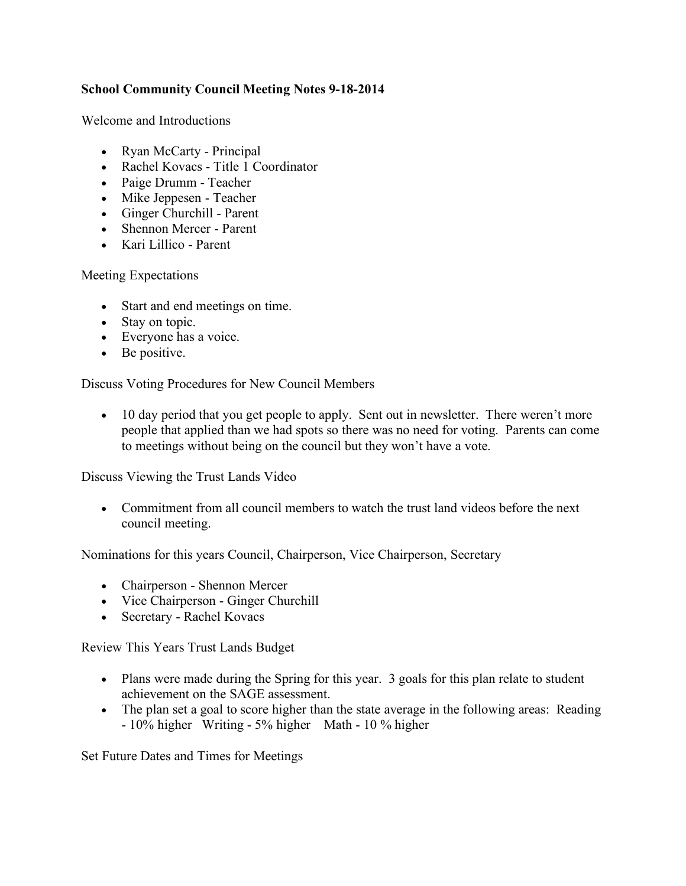## **School Community Council Meeting Notes 9-18-2014**

Welcome and Introductions

- Ryan McCarty Principal
- Rachel Kovacs Title 1 Coordinator
- Paige Drumm Teacher
- Mike Jeppesen Teacher
- Ginger Churchill Parent
- Shennon Mercer Parent
- Kari Lillico Parent

Meeting Expectations

- Start and end meetings on time.
- Stay on topic.
- Everyone has a voice.
- Be positive.

Discuss Voting Procedures for New Council Members

• 10 day period that you get people to apply. Sent out in newsletter. There weren't more people that applied than we had spots so there was no need for voting. Parents can come to meetings without being on the council but they won't have a vote.

Discuss Viewing the Trust Lands Video

• Commitment from all council members to watch the trust land videos before the next council meeting.

Nominations for this years Council, Chairperson, Vice Chairperson, Secretary

- Chairperson Shennon Mercer
- Vice Chairperson Ginger Churchill
- Secretary Rachel Kovacs

Review This Years Trust Lands Budget

- Plans were made during the Spring for this year. 3 goals for this plan relate to student achievement on the SAGE assessment.
- The plan set a goal to score higher than the state average in the following areas: Reading - 10% higher Writing - 5% higher Math - 10 % higher

Set Future Dates and Times for Meetings